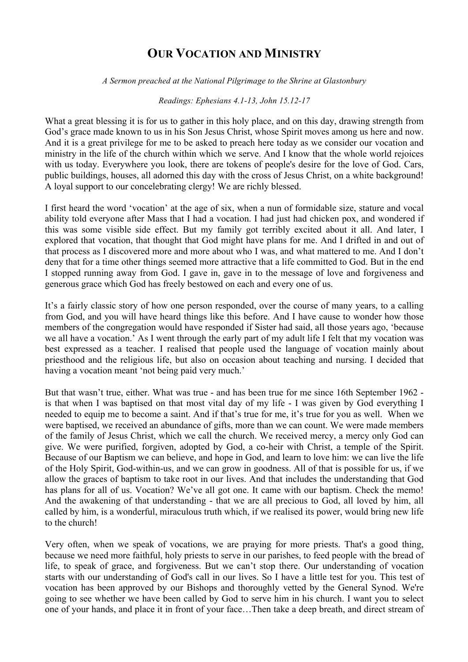## **OUR VOCATION AND MINISTRY**

*A Sermon preached at the National Pilgrimage to the Shrine at Glastonbury*

*Readings: Ephesians 4.1-13, John 15.12-17*

What a great blessing it is for us to gather in this holy place, and on this day, drawing strength from God's grace made known to us in his Son Jesus Christ, whose Spirit moves among us here and now. And it is a great privilege for me to be asked to preach here today as we consider our vocation and ministry in the life of the church within which we serve. And I know that the whole world rejoices with us today. Everywhere you look, there are tokens of people's desire for the love of God. Cars, public buildings, houses, all adorned this day with the cross of Jesus Christ, on a white background! A loyal support to our concelebrating clergy! We are richly blessed.

I first heard the word 'vocation' at the age of six, when a nun of formidable size, stature and vocal ability told everyone after Mass that I had a vocation. I had just had chicken pox, and wondered if this was some visible side effect. But my family got terribly excited about it all. And later, I explored that vocation, that thought that God might have plans for me. And I drifted in and out of that process as I discovered more and more about who I was, and what mattered to me. And I don't deny that for a time other things seemed more attractive that a life committed to God. But in the end I stopped running away from God. I gave in, gave in to the message of love and forgiveness and generous grace which God has freely bestowed on each and every one of us.

It's a fairly classic story of how one person responded, over the course of many years, to a calling from God, and you will have heard things like this before. And I have cause to wonder how those members of the congregation would have responded if Sister had said, all those years ago, 'because we all have a vocation.' As I went through the early part of my adult life I felt that my vocation was best expressed as a teacher. I realised that people used the language of vocation mainly about priesthood and the religious life, but also on occasion about teaching and nursing. I decided that having a vocation meant 'not being paid very much.'

But that wasn't true, either. What was true - and has been true for me since 16th September 1962 is that when I was baptised on that most vital day of my life - I was given by God everything I needed to equip me to become a saint. And if that's true for me, it's true for you as well. When we were baptised, we received an abundance of gifts, more than we can count. We were made members of the family of Jesus Christ, which we call the church. We received mercy, a mercy only God can give. We were purified, forgiven, adopted by God, a co-heir with Christ, a temple of the Spirit. Because of our Baptism we can believe, and hope in God, and learn to love him: we can live the life of the Holy Spirit, God-within-us, and we can grow in goodness. All of that is possible for us, if we allow the graces of baptism to take root in our lives. And that includes the understanding that God has plans for all of us. Vocation? We've all got one. It came with our baptism. Check the memo! And the awakening of that understanding - that we are all precious to God, all loved by him, all called by him, is a wonderful, miraculous truth which, if we realised its power, would bring new life to the church!

Very often, when we speak of vocations, we are praying for more priests. That's a good thing, because we need more faithful, holy priests to serve in our parishes, to feed people with the bread of life, to speak of grace, and forgiveness. But we can't stop there. Our understanding of vocation starts with our understanding of God's call in our lives. So I have a little test for you. This test of vocation has been approved by our Bishops and thoroughly vetted by the General Synod. We're going to see whether we have been called by God to serve him in his church. I want you to select one of your hands, and place it in front of your face…Then take a deep breath, and direct stream of